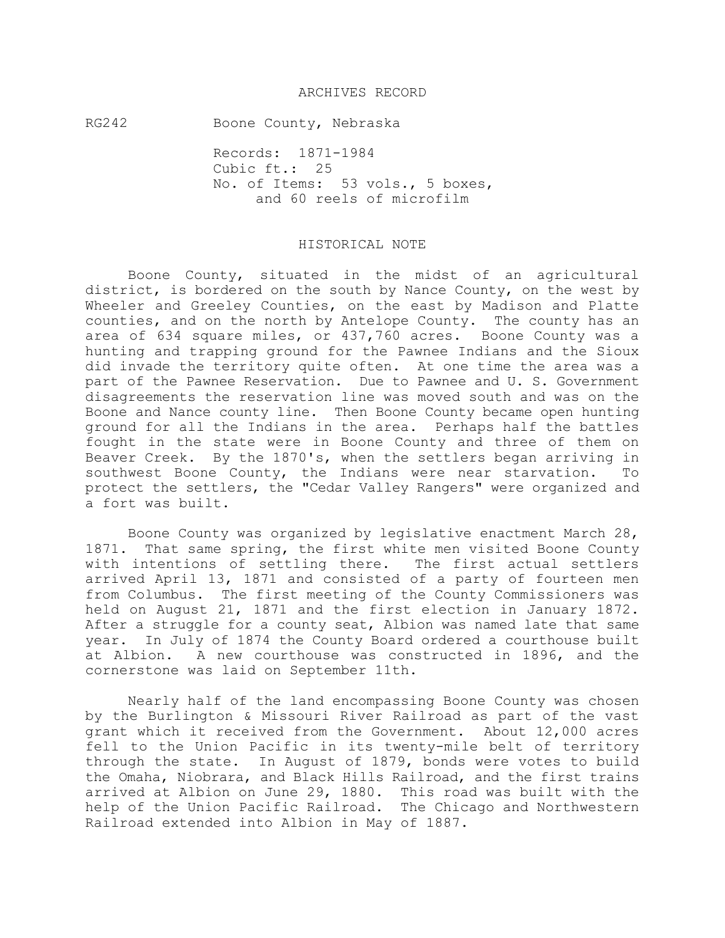### ARCHIVES RECORD

RG242 Boone County, Nebraska

Records: 1871-1984 Cubic ft.: 25 No. of Items: 53 vols., 5 boxes, and 60 reels of microfilm

### HISTORICAL NOTE

Boone County, situated in the midst of an agricultural district, is bordered on the south by Nance County, on the west by Wheeler and Greeley Counties, on the east by Madison and Platte counties, and on the north by Antelope County. The county has an area of 634 square miles, or 437,760 acres. Boone County was a hunting and trapping ground for the Pawnee Indians and the Sioux did invade the territory quite often. At one time the area was a part of the Pawnee Reservation. Due to Pawnee and U. S. Government disagreements the reservation line was moved south and was on the Boone and Nance county line. Then Boone County became open hunting ground for all the Indians in the area. Perhaps half the battles fought in the state were in Boone County and three of them on Beaver Creek. By the 1870's, when the settlers began arriving in southwest Boone County, the Indians were near starvation. To protect the settlers, the "Cedar Valley Rangers" were organized and a fort was built.

Boone County was organized by legislative enactment March 28, 1871. That same spring, the first white men visited Boone County with intentions of settling there. The first actual settlers arrived April 13, 1871 and consisted of a party of fourteen men from Columbus. The first meeting of the County Commissioners was held on August 21, 1871 and the first election in January 1872. After a struggle for a county seat, Albion was named late that same year. In July of 1874 the County Board ordered a courthouse built at Albion. A new courthouse was constructed in 1896, and the cornerstone was laid on September 11th.

Nearly half of the land encompassing Boone County was chosen by the Burlington & Missouri River Railroad as part of the vast grant which it received from the Government. About 12,000 acres fell to the Union Pacific in its twenty-mile belt of territory through the state. In August of 1879, bonds were votes to build the Omaha, Niobrara, and Black Hills Railroad, and the first trains arrived at Albion on June 29, 1880. This road was built with the help of the Union Pacific Railroad. The Chicago and Northwestern Railroad extended into Albion in May of 1887.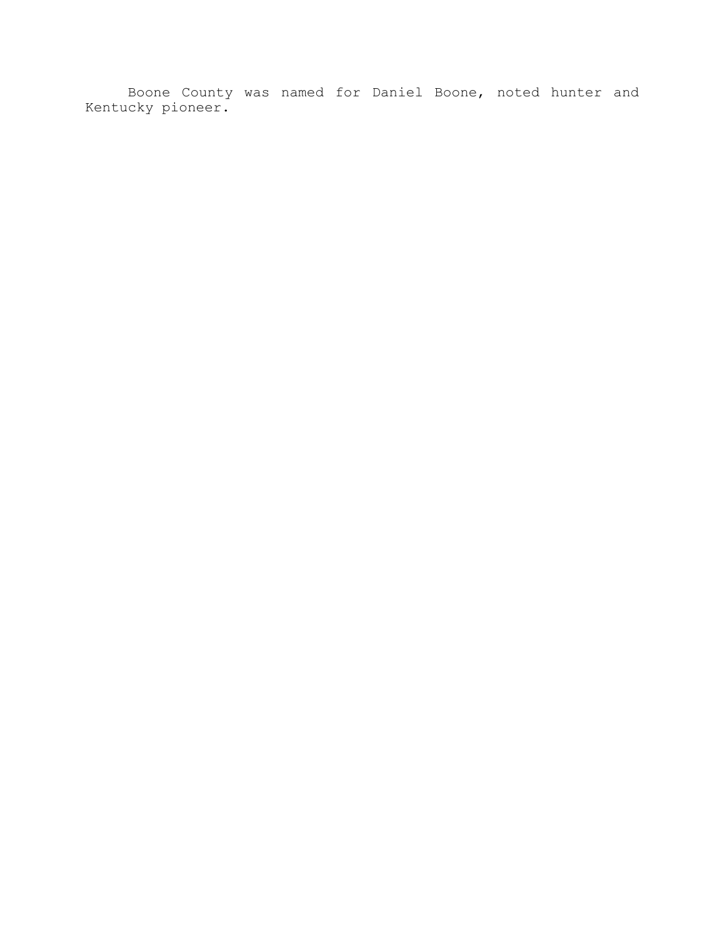Boone County was named for Daniel Boone, noted hunter and Kentucky pioneer.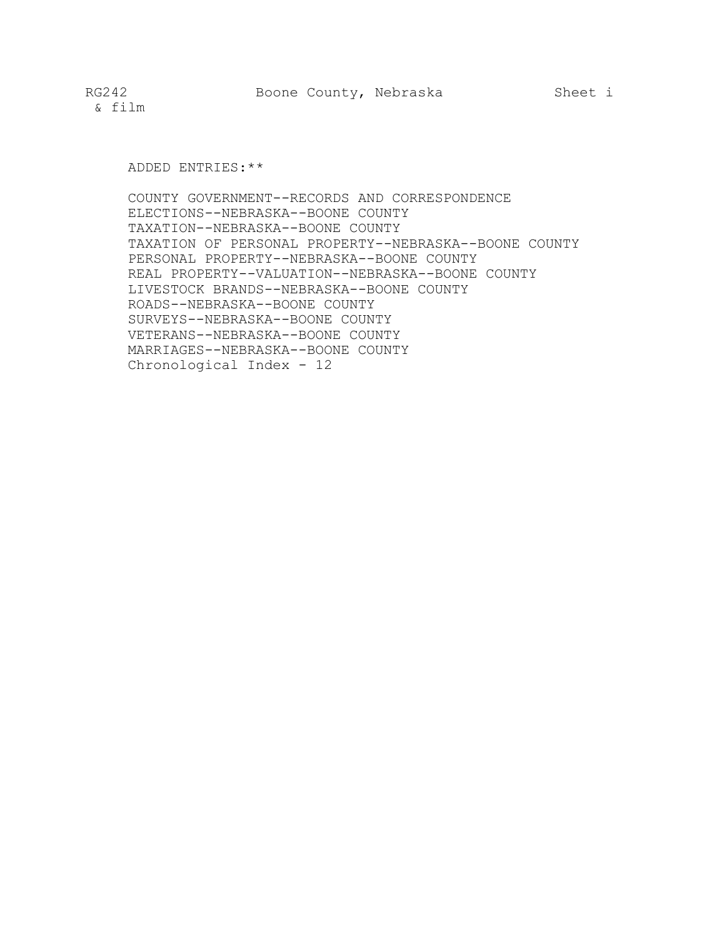& film

ADDED ENTRIES:\*\*

COUNTY GOVERNMENT--RECORDS AND CORRESPONDENCE ELECTIONS--NEBRASKA--BOONE COUNTY TAXATION--NEBRASKA--BOONE COUNTY TAXATION OF PERSONAL PROPERTY--NEBRASKA--BOONE COUNTY PERSONAL PROPERTY--NEBRASKA--BOONE COUNTY REAL PROPERTY--VALUATION--NEBRASKA--BOONE COUNTY LIVESTOCK BRANDS--NEBRASKA--BOONE COUNTY ROADS--NEBRASKA--BOONE COUNTY SURVEYS--NEBRASKA--BOONE COUNTY VETERANS--NEBRASKA--BOONE COUNTY MARRIAGES--NEBRASKA--BOONE COUNTY Chronological Index - 12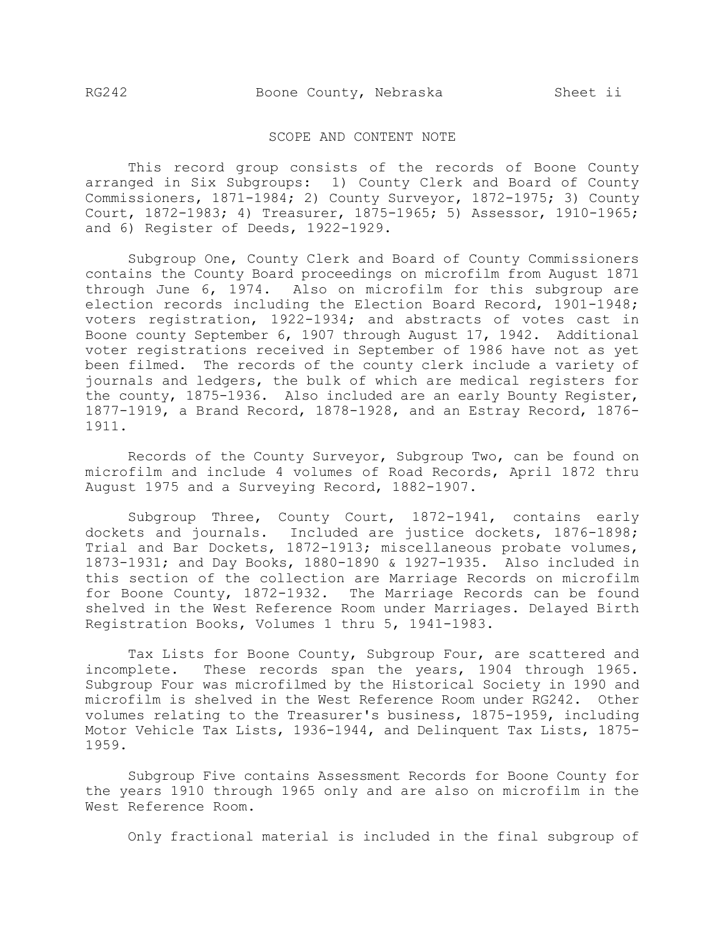RG242 Boone County, Nebraska Sheet ii

#### SCOPE AND CONTENT NOTE

This record group consists of the records of Boone County arranged in Six Subgroups: 1) County Clerk and Board of County Commissioners, 1871-1984; 2) County Surveyor, 1872-1975; 3) County Court, 1872-1983; 4) Treasurer, 1875-1965; 5) Assessor, 1910-1965; and 6) Register of Deeds, 1922-1929.

Subgroup One, County Clerk and Board of County Commissioners contains the County Board proceedings on microfilm from August 1871 through June 6, 1974. Also on microfilm for this subgroup are election records including the Election Board Record, 1901-1948; voters registration, 1922-1934; and abstracts of votes cast in Boone county September 6, 1907 through August 17, 1942. Additional voter registrations received in September of 1986 have not as yet been filmed. The records of the county clerk include a variety of journals and ledgers, the bulk of which are medical registers for the county, 1875-1936. Also included are an early Bounty Register, 1877-1919, a Brand Record, 1878-1928, and an Estray Record, 1876- 1911.

Records of the County Surveyor, Subgroup Two, can be found on microfilm and include 4 volumes of Road Records, April 1872 thru August 1975 and a Surveying Record, 1882-1907.

Subgroup Three, County Court, 1872-1941, contains early dockets and journals. Included are justice dockets, 1876-1898; Trial and Bar Dockets, 1872-1913; miscellaneous probate volumes, 1873-1931; and Day Books, 1880-1890 & 1927-1935. Also included in this section of the collection are Marriage Records on microfilm for Boone County, 1872-1932. The Marriage Records can be found shelved in the West Reference Room under Marriages. Delayed Birth Registration Books, Volumes 1 thru 5, 1941-1983.

Tax Lists for Boone County, Subgroup Four, are scattered and incomplete. These records span the years, 1904 through 1965. Subgroup Four was microfilmed by the Historical Society in 1990 and microfilm is shelved in the West Reference Room under RG242. Other volumes relating to the Treasurer's business, 1875-1959, including Motor Vehicle Tax Lists, 1936-1944, and Delinquent Tax Lists, 1875- 1959.

Subgroup Five contains Assessment Records for Boone County for the years 1910 through 1965 only and are also on microfilm in the West Reference Room.

Only fractional material is included in the final subgroup of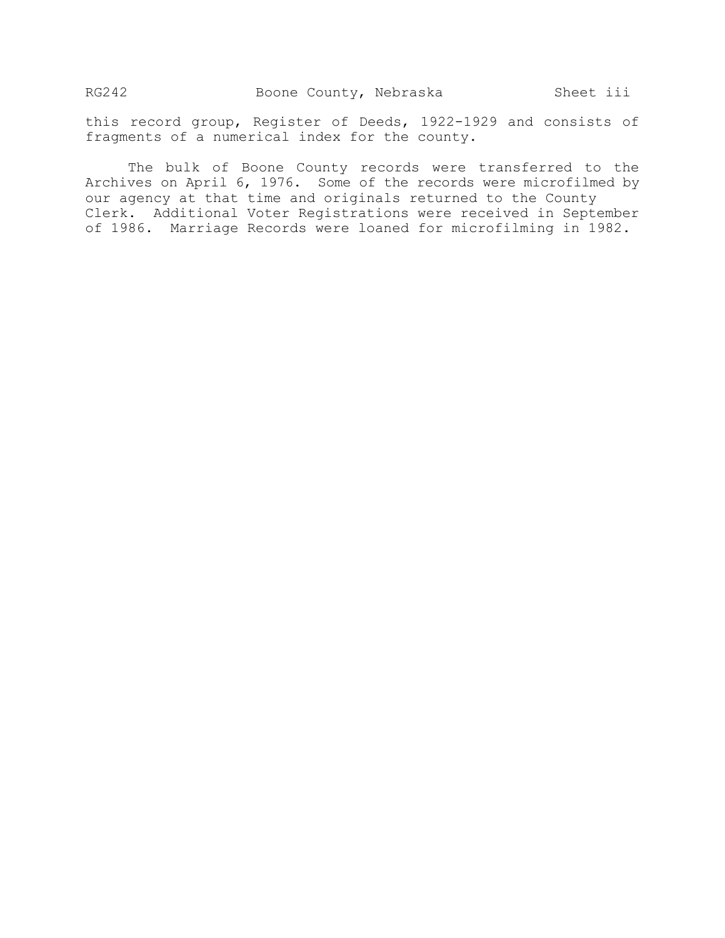this record group, Register of Deeds, 1922-1929 and consists of fragments of a numerical index for the county.

The bulk of Boone County records were transferred to the Archives on April 6, 1976. Some of the records were microfilmed by our agency at that time and originals returned to the County Clerk. Additional Voter Registrations were received in September of 1986. Marriage Records were loaned for microfilming in 1982.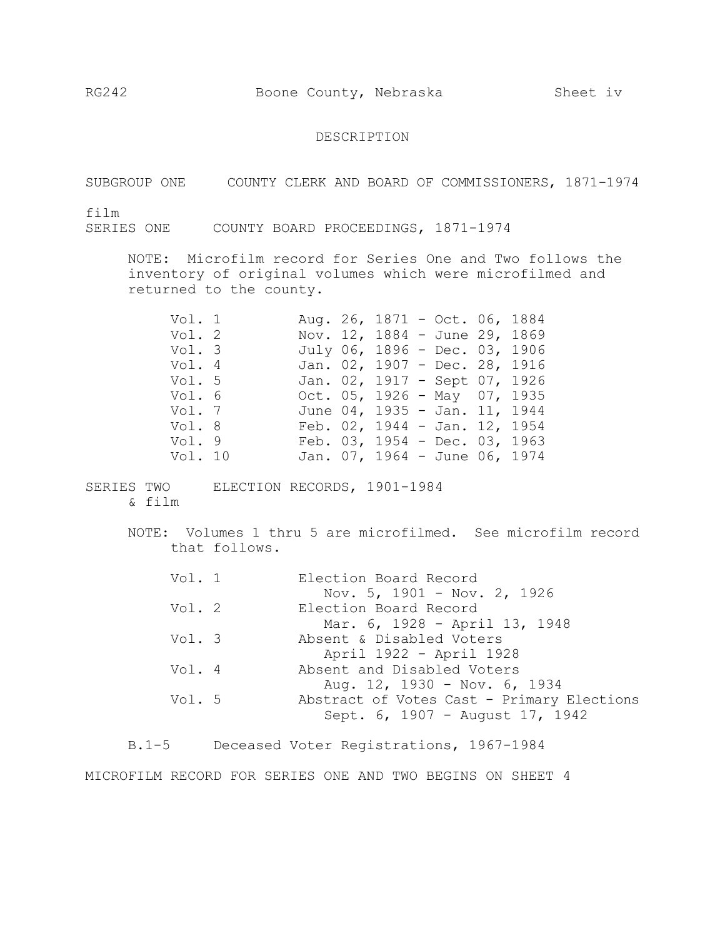## DESCRIPTION

SUBGROUP ONE COUNTY CLERK AND BOARD OF COMMISSIONERS, 1871-1974

film

SERIES ONE COUNTY BOARD PROCEEDINGS, 1871-1974

NOTE: Microfilm record for Series One and Two follows the inventory of original volumes which were microfilmed and returned to the county.

| Vol. 1  |  | Aug. 26, 1871 - Oct. 06, 1884    |  |  |
|---------|--|----------------------------------|--|--|
| Vol. 2  |  | Nov. 12, 1884 - June 29, 1869    |  |  |
| Vol. 3  |  | July 06, 1896 - Dec. 03, 1906    |  |  |
| Vol. 4  |  | Jan. 02, 1907 - Dec. 28, 1916    |  |  |
| Vol. 5  |  | Jan. 02, 1917 - Sept 07, 1926    |  |  |
| Vol. 6  |  | Oct. $05$ , 1926 - May 07, 1935  |  |  |
| Vol. 7  |  | June 04, 1935 - Jan. 11, 1944    |  |  |
| Vol. 8  |  | Feb. $02$ , 1944 - Jan. 12, 1954 |  |  |
| Vol. 9  |  | Feb. 03, 1954 - Dec. 03, 1963    |  |  |
| Vol. 10 |  | Jan. 07, 1964 - June 06, 1974    |  |  |

SERIES TWO ELECTION RECORDS, 1901-1984 & film

> NOTE: Volumes 1 thru 5 are microfilmed. See microfilm record that follows.

| Vol. 1 | Election Board Record                      |
|--------|--------------------------------------------|
|        | Nov. 5, 1901 - Nov. 2, 1926                |
| Vol. 2 | Election Board Record                      |
|        | Mar. 6, 1928 - April 13, 1948              |
| Vol. 3 | Absent & Disabled Voters                   |
|        | April 1922 - April 1928                    |
| Vol. 4 | Absent and Disabled Voters                 |
|        | Aug. 12, 1930 - Nov. 6, 1934               |
| Vol. 5 | Abstract of Votes Cast - Primary Elections |
|        | Sept. 6, 1907 - August 17, 1942            |
|        |                                            |

B.1-5 Deceased Voter Registrations, 1967-1984 MICROFILM RECORD FOR SERIES ONE AND TWO BEGINS ON SHEET 4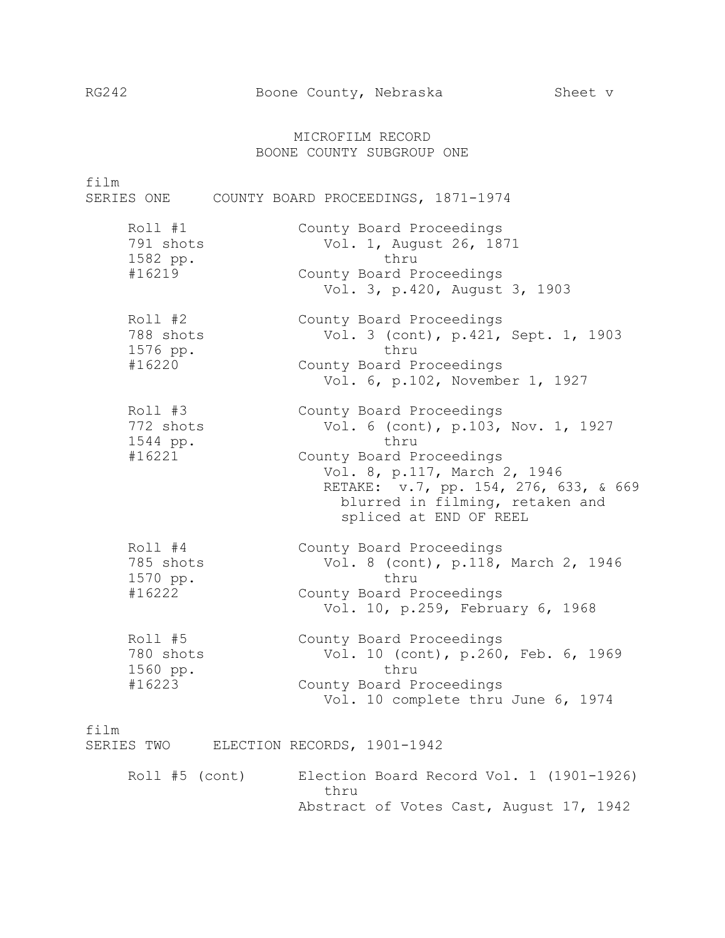# MICROFILM RECORD BOONE COUNTY SUBGROUP ONE

film

SERIES ONE COUNTY BOARD PROCEEDINGS, 1871-1974

| Roll #1<br>791 shots<br>1582 pp.<br>#16219   | County Board Proceedings<br>Vol. 1, August 26, 1871<br>thru<br>County Board Proceedings<br>Vol. 3, p.420, August 3, 1903                                                                                                                 |
|----------------------------------------------|------------------------------------------------------------------------------------------------------------------------------------------------------------------------------------------------------------------------------------------|
| Roll #2<br>788 shots<br>1576 pp.<br>#16220   | County Board Proceedings<br>Vol. 3 (cont), p.421, Sept. 1, 1903<br>thru<br>County Board Proceedings<br>Vol. 6, p.102, November 1, 1927                                                                                                   |
| $Roll$ #3<br>772 shots<br>1544 pp.<br>#16221 | County Board Proceedings<br>Vol. 6 (cont), p.103, Nov. 1, 1927<br>thru<br>County Board Proceedings<br>Vol. 8, p.117, March 2, 1946<br>RETAKE: v.7, pp. 154, 276, 633, & 669<br>blurred in filming, retaken and<br>spliced at END OF REEL |
| $Roll$ #4<br>785 shots<br>1570 pp.<br>#16222 | County Board Proceedings<br>Vol. 8 (cont), p.118, March 2, 1946<br>thru<br>County Board Proceedings<br>Vol. 10, p.259, February 6, 1968                                                                                                  |
| Roll #5<br>780 shots<br>1560 pp.<br>#16223   | County Board Proceedings<br>Vol. 10 (cont), p.260, Feb. 6, 1969<br>thru<br>County Board Proceedings<br>Vol. 10 complete thru June 6, 1974                                                                                                |

film

SERIES TWO ELECTION RECORDS, 1901-1942

Roll #5 (cont) Election Board Record Vol. 1 (1901-1926) thru Abstract of Votes Cast, August 17, 1942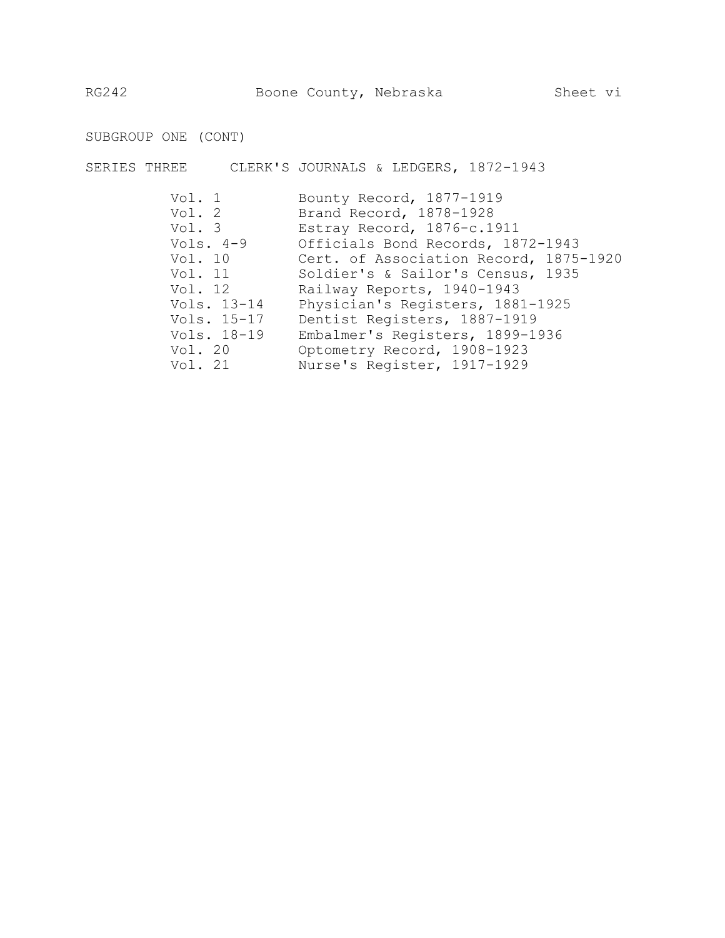SUBGROUP ONE (CONT)

SERIES THREE CLERK'S JOURNALS & LEDGERS, 1872-1943

| Vol. 1      | Bounty Record, 1877-1919                    |
|-------------|---------------------------------------------|
| Vol. 2      | Brand Record, 1878-1928                     |
| Vol. 3      | Estray Record, 1876-c.1911                  |
|             | Vols. 4-9 Officials Bond Records, 1872-1943 |
| Vol. $10$   | Cert. of Association Record, 1875-1920      |
|             | Vol. 11 Soldier's & Sailor's Census, 1935   |
| Vol. 12     | Railway Reports, 1940-1943                  |
| Vols. 13-14 | Physician's Registers, 1881-1925            |
| Vols. 15-17 | Dentist Registers, 1887-1919                |
| Vols. 18-19 | Embalmer's Registers, 1899-1936             |
| Vol. 20     | Optometry Record, 1908-1923                 |
| Vol. 21     | Nurse's Register, 1917-1929                 |
|             |                                             |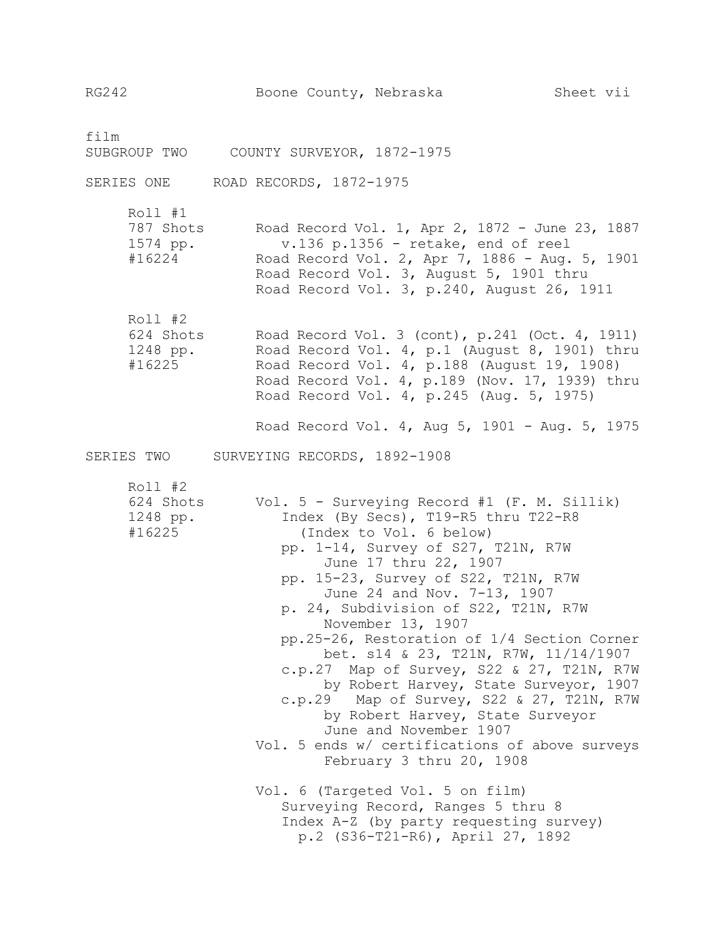film SUBGROUP TWO COUNTY SURVEYOR, 1872-1975

SERIES ONE ROAD RECORDS, 1872-1975

Roll #1 787 Shots Road Record Vol. 1, Apr 2, 1872 - June 23, 1887 1574 pp. v.136 p.1356 - retake, end of reel #16224 Road Record Vol. 2, Apr 7, 1886 - Aug. 5, 1901 Road Record Vol. 3, August 5, 1901 thru Road Record Vol. 3, p.240, August 26, 1911

Roll #2 624 Shots Road Record Vol. 3 (cont), p.241 (Oct. 4, 1911) 1248 pp. Road Record Vol. 4, p.1 (August 8, 1901) thru #16225 Road Record Vol. 4, p.188 (August 19, 1908) Road Record Vol. 4, p.189 (Nov. 17, 1939) thru Road Record Vol. 4, p.245 (Aug. 5, 1975)

Road Record Vol. 4, Aug 5, 1901 - Aug. 5, 1975

SERIES TWO SURVEYING RECORDS, 1892-1908

Roll #2

624 Shots Vol. 5 - Surveying Record #1 (F. M. Sillik) 1248 pp. Index (By Secs), T19-R5 thru T22-R8 #16225 (Index to Vol. 6 below) pp. 1-14, Survey of S27, T21N, R7W June 17 thru 22, 1907 pp. 15-23, Survey of S22, T21N, R7W June 24 and Nov. 7-13, 1907 p. 24, Subdivision of S22, T21N, R7W November 13, 1907 pp.25-26, Restoration of 1/4 Section Corner bet. s14 & 23, T21N, R7W, 11/14/1907 c.p.27 Map of Survey, S22 & 27, T21N, R7W by Robert Harvey, State Surveyor, 1907 c.p.29 Map of Survey, S22 & 27, T21N, R7W by Robert Harvey, State Surveyor June and November 1907 Vol. 5 ends w/ certifications of above surveys February 3 thru 20, 1908 Vol. 6 (Targeted Vol. 5 on film) Surveying Record, Ranges 5 thru 8 Index A-Z (by party requesting survey) p.2 (S36-T21-R6), April 27, 1892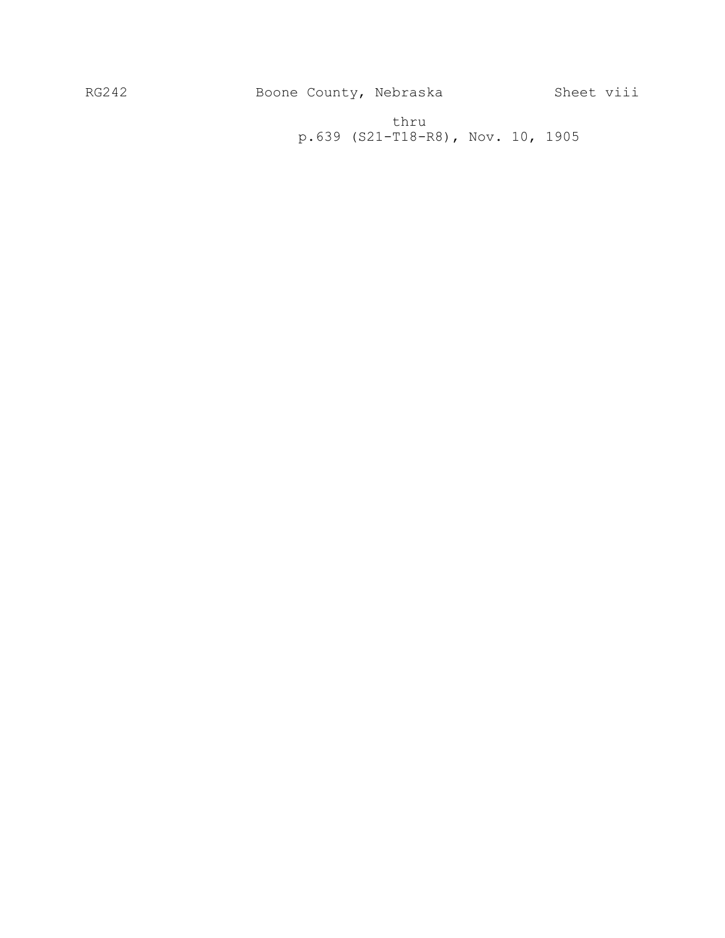thru p.639 (S21-T18-R8), Nov. 10, 1905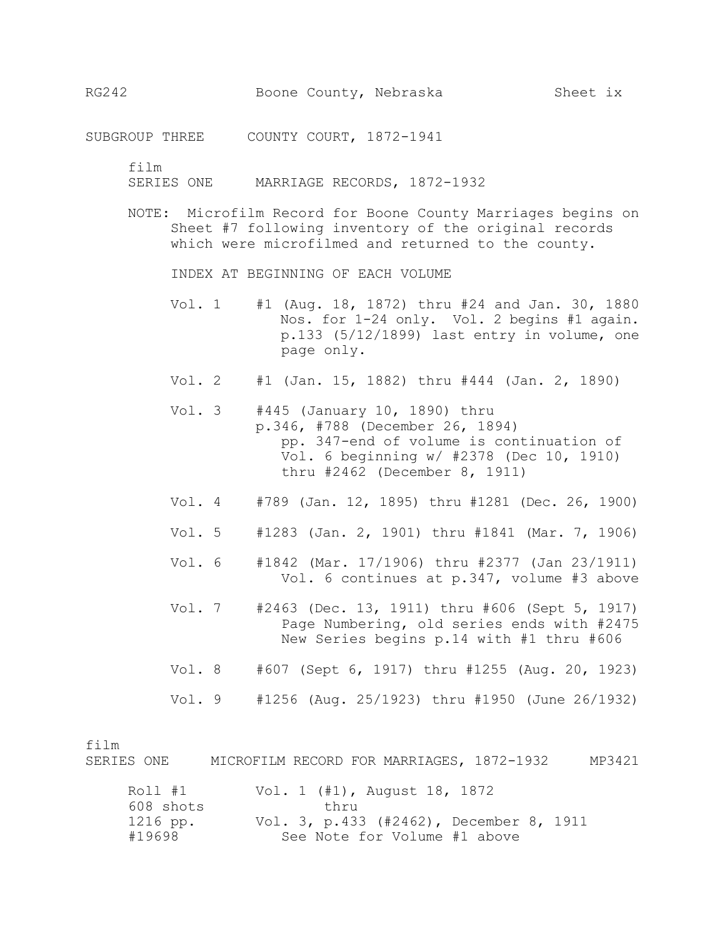SUBGROUP THREE COUNTY COURT, 1872-1941

film

SERIES ONE MARRIAGE RECORDS, 1872-1932

NOTE: Microfilm Record for Boone County Marriages begins on Sheet #7 following inventory of the original records which were microfilmed and returned to the county.

INDEX AT BEGINNING OF EACH VOLUME

- Vol. 1 #1 (Aug. 18, 1872) thru #24 and Jan. 30, 1880 Nos. for 1-24 only. Vol. 2 begins #1 again. p.133 (5/12/1899) last entry in volume, one page only.
- Vol. 2 #1 (Jan. 15, 1882) thru #444 (Jan. 2, 1890)
- Vol. 3 #445 (January 10, 1890) thru p.346, #788 (December 26, 1894) pp. 347-end of volume is continuation of Vol. 6 beginning w/ #2378 (Dec 10, 1910) thru #2462 (December 8, 1911)
- Vol. 4 #789 (Jan. 12, 1895) thru #1281 (Dec. 26, 1900)
- Vol. 5 #1283 (Jan. 2, 1901) thru #1841 (Mar. 7, 1906)
- Vol. 6 #1842 (Mar. 17/1906) thru #2377 (Jan 23/1911) Vol. 6 continues at p.347, volume #3 above
- Vol. 7 #2463 (Dec. 13, 1911) thru #606 (Sept 5, 1917) Page Numbering, old series ends with #2475 New Series begins p.14 with #1 thru #606
- Vol. 8 #607 (Sept 6, 1917) thru #1255 (Aug. 20, 1923)
- Vol. 9 #1256 (Aug. 25/1923) thru #1950 (June 26/1932)

film

SERIES ONE MICROFILM RECORD FOR MARRIAGES, 1872-1932 MP3421

| Roll #1   | Vol. 1 (#1), August 18, 1872            |
|-----------|-----------------------------------------|
| 608 shots | thru                                    |
| 1216 pp.  | Vol. 3, p.433 (#2462), December 8, 1911 |
| #19698    | See Note for Volume #1 above            |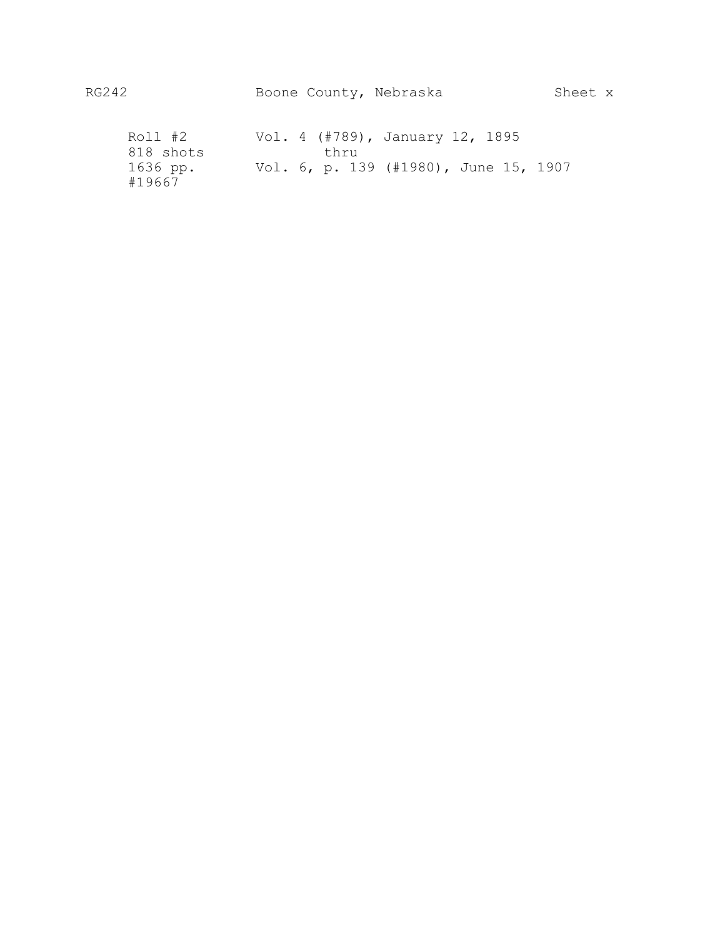| Roll #2            |  |      | Vol. 4 (#789), January 12, 1895       |  |  |
|--------------------|--|------|---------------------------------------|--|--|
| 818 shots          |  | thru |                                       |  |  |
| 1636 pp.<br>#19667 |  |      | Vol. 6, p. 139 (#1980), June 15, 1907 |  |  |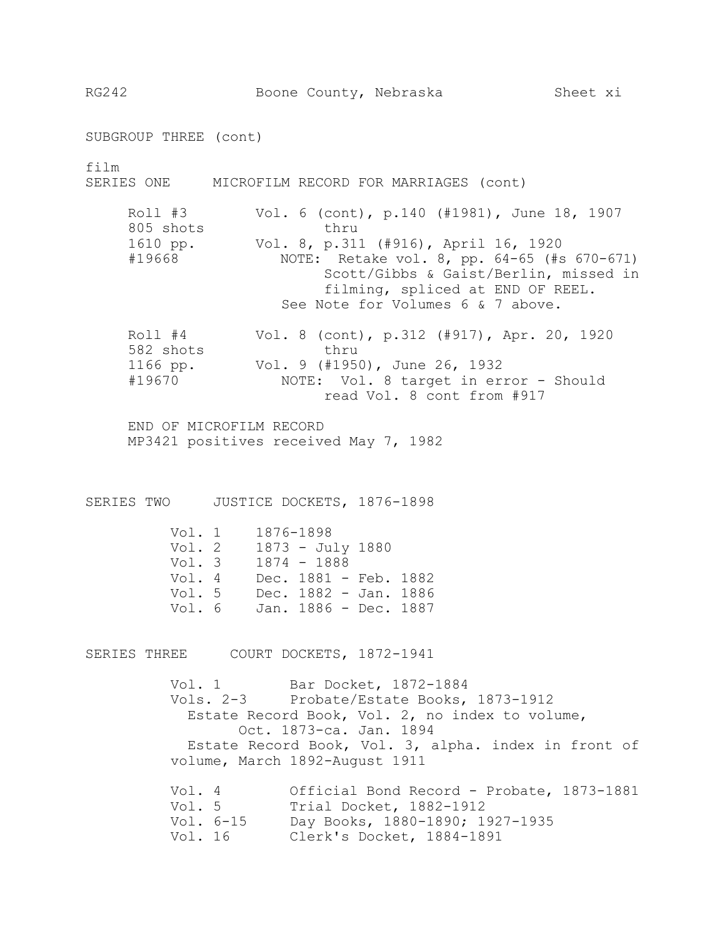RG242 Boone County, Nebraska Sheet xi

SUBGROUP THREE (cont) film SERIES ONE MICROFILM RECORD FOR MARRIAGES (cont) Roll #3 Vol. 6 (cont), p.140 (#1981), June 18, 1907 805 shots thru 1610 pp. Vol. 8, p.311 (#916), April 16, 1920 #19668 NOTE: Retake vol. 8, pp. 64-65 (#s 670-671) Scott/Gibbs & Gaist/Berlin, missed in filming, spliced at END OF REEL. See Note for Volumes 6 & 7 above. Roll #4 Vol. 8 (cont), p.312 (#917), Apr. 20, 1920 582 shots thru 1166 pp. Vol. 9 (#1950), June 26, 1932 #19670 NOTE: Vol. 8 target in error - Should read Vol. 8 cont from #917 END OF MICROFILM RECORD MP3421 positives received May 7, 1982 SERIES TWO JUSTICE DOCKETS, 1876-1898 Vol. 1 1876-1898 Vol. 2 1873 - July 1880 Vol. 3 1874 - 1888 Vol. 4 Dec. 1881 - Feb. 1882 Vol. 5 Dec. 1882 - Jan. 1886 Vol. 6 Jan. 1886 - Dec. 1887 SERIES THREE COURT DOCKETS, 1872-1941 Vol. 1 Bar Docket, 1872-1884 Vols. 2-3 Probate/Estate Books, 1873-1912 Estate Record Book, Vol. 2, no index to volume, Oct. 1873-ca. Jan. 1894 Estate Record Book, Vol. 3, alpha. index in front of volume, March 1892-August 1911 Vol. 4 Official Bond Record - Probate, 1873-1881<br>Vol. 5 Trial Docket, 1882-1912 Trial Docket, 1882-1912 Vol. 6-15 Day Books, 1880-1890; 1927-1935 Vol. 16 Clerk's Docket, 1884-1891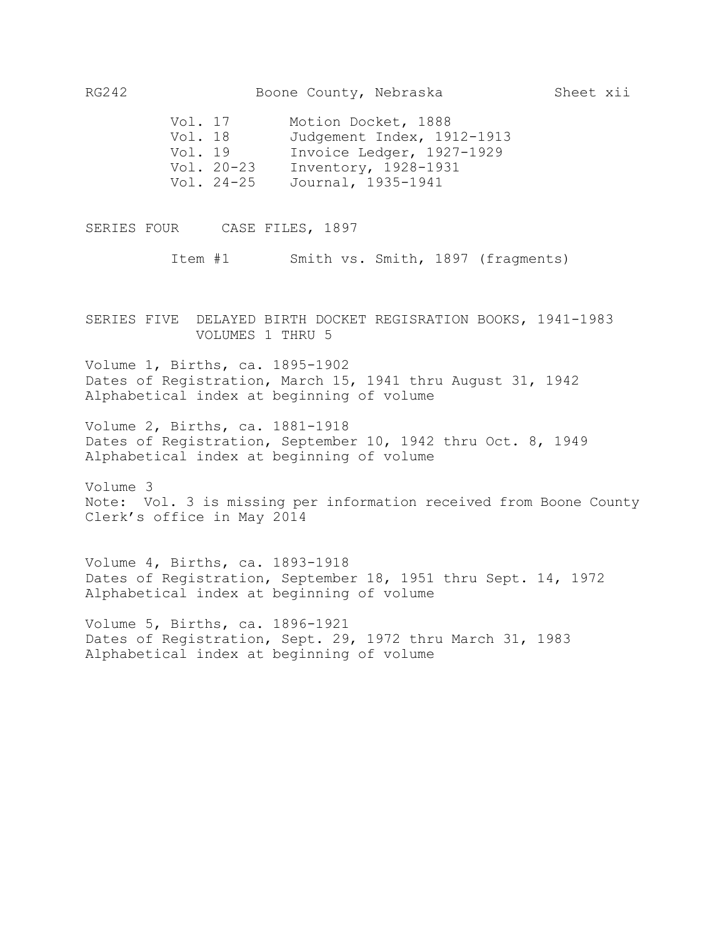| Vol. 17      | Motion Docket, 1888        |
|--------------|----------------------------|
| Vol. 18      | Judgement Index, 1912-1913 |
| Vol. 19      | Invoice Ledger, 1927-1929  |
| $Vol. 20-23$ | Inventory, 1928-1931       |
| Vol. 24-25   | Journal, 1935-1941         |

SERIES FOUR CASE FILES, 1897

Item #1 Smith vs. Smith, 1897 (fragments)

SERIES FIVE DELAYED BIRTH DOCKET REGISRATION BOOKS, 1941-1983 VOLUMES 1 THRU 5

Volume 1, Births, ca. 1895-1902 Dates of Registration, March 15, 1941 thru August 31, 1942 Alphabetical index at beginning of volume

Volume 2, Births, ca. 1881-1918 Dates of Registration, September 10, 1942 thru Oct. 8, 1949 Alphabetical index at beginning of volume

Volume 3 Note: Vol. 3 is missing per information received from Boone County Clerk's office in May 2014

Volume 4, Births, ca. 1893-1918 Dates of Registration, September 18, 1951 thru Sept. 14, 1972 Alphabetical index at beginning of volume

Volume 5, Births, ca. 1896-1921 Dates of Registration, Sept. 29, 1972 thru March 31, 1983 Alphabetical index at beginning of volume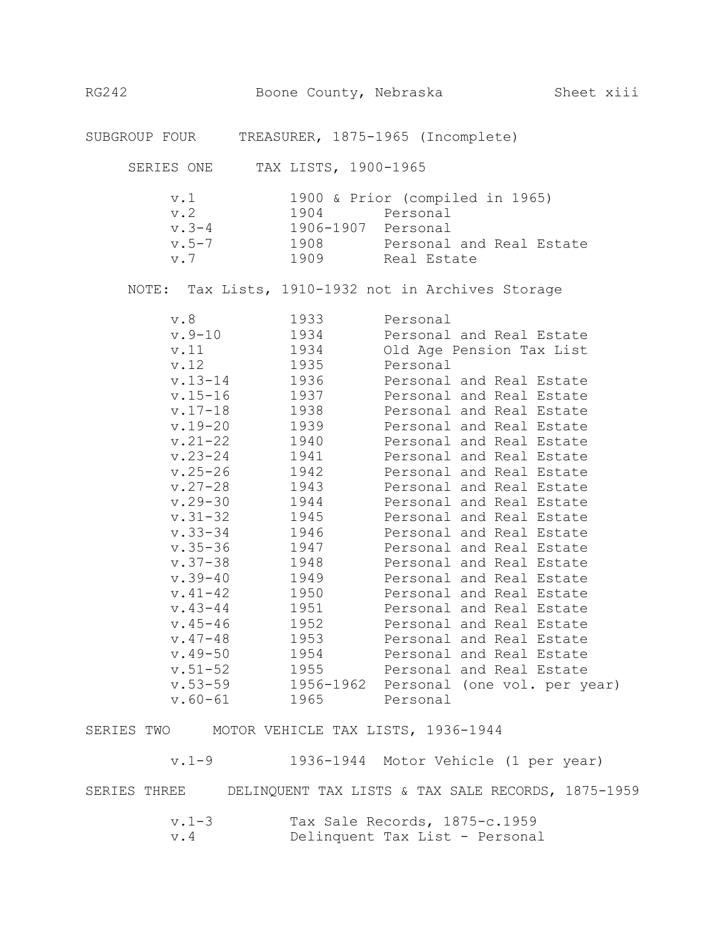SUBGROUP FOUR TREASURER, 1875-1965 (Incomplete)

SERIES ONE TAX LISTS, 1900-1965

| v.1       |           | 1900 & Prior (compiled in 1965) |
|-----------|-----------|---------------------------------|
| v. 2      | 1904      | Personal                        |
| v.3-4     | 1906-1907 | Personal                        |
| $v.5 - 7$ | 1908      | Personal and Real Estate        |
| v. 7      | 1909      | Real Estate                     |

NOTE: Tax Lists, 1910-1932 not in Archives Storage

| v.8         | 1933      | Personal                     |
|-------------|-----------|------------------------------|
| $v.9-10$    | 1934      | Personal and Real Estate     |
| v.11        | 1934      | Old Age Pension Tax List     |
| v.12        | 1935      | Personal                     |
| $v.13 - 14$ | 1936      | Personal and Real Estate     |
| $v.15 - 16$ | 1937      | Personal and Real Estate     |
| $v.17 - 18$ | 1938      | Personal and Real Estate     |
| $v.19 - 20$ | 1939      | Personal and Real Estate     |
| $v.21 - 22$ | 1940      | Personal and Real Estate     |
| $v.23 - 24$ | 1941      | Personal and Real Estate     |
| $v.25 - 26$ | 1942      | Personal and Real Estate     |
| $v.27 - 28$ | 1943      | Personal and Real Estate     |
| $v.29 - 30$ | 1944      | Personal and Real Estate     |
| $v.31 - 32$ | 1945      | Personal and Real Estate     |
| $v.33 - 34$ | 1946      | Personal and Real Estate     |
| $v.35 - 36$ | 1947      | Personal and Real Estate     |
| $v.37 - 38$ | 1948      | Personal and Real Estate     |
| $v.39 - 40$ | 1949      | Personal and Real Estate     |
| $v.41 - 42$ | 1950      | Personal and Real Estate     |
| $v.43 - 44$ | 1951      | Personal and Real Estate     |
| $v.45 - 46$ | 1952      | Personal and Real Estate     |
| $v.47 - 48$ | 1953      | Personal and Real Estate     |
| $v.49 - 50$ | 1954      | Personal and Real Estate     |
| $v.51 - 52$ | 1955      | Personal and Real Estate     |
| $v.53 - 59$ | 1956-1962 | Personal (one vol. per year) |
| $v.60 - 61$ | 1965      | Personal                     |

SERIES TWO MOTOR VEHICLE TAX LISTS, 1936-1944

v.1-9 1936-1944 Motor Vehicle (1 per year) SERIES THREE DELINQUENT TAX LISTS & TAX SALE RECORDS, 1875-1959 v.1-3 Tax Sale Records, 1875-c.1959

| v.4 | Delinquent Tax List - Personal |  |  |
|-----|--------------------------------|--|--|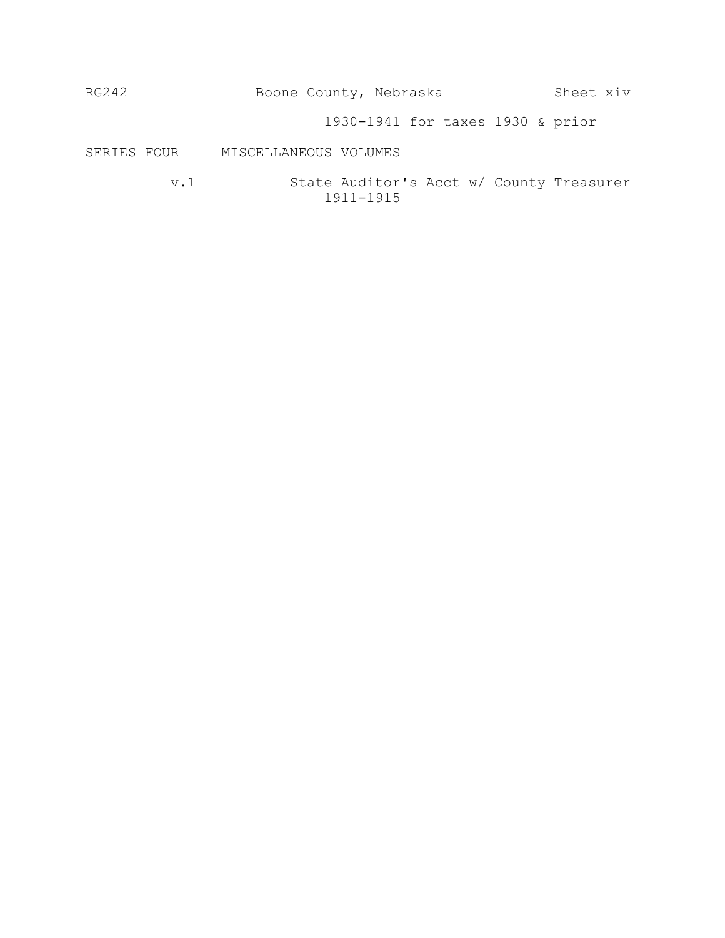| RG242       |             | Boone County, Nebraska                                    | Sheet xiv |
|-------------|-------------|-----------------------------------------------------------|-----------|
|             |             | 1930-1941 for taxes 1930 & prior                          |           |
| SERIES FOUR |             | MISCELLANEOUS VOLUMES                                     |           |
|             | $\rm v$ . 1 | State Auditor's Acct w/ County Treasurer<br>$1911 - 1915$ |           |